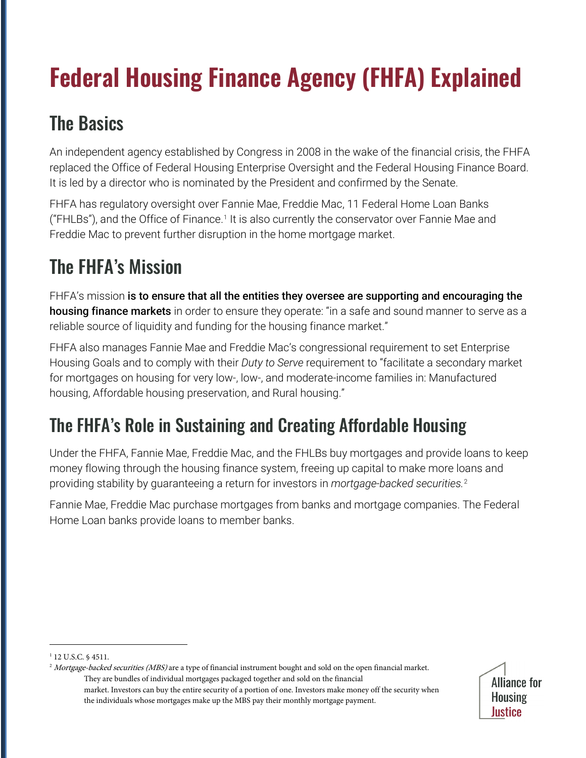# **Federal Housing Finance Agency (FHFA) Explained**

## The Basics

An independent agency established by Congress in 2008 in the wake of the financial crisis, the FHFA replaced the Office of Federal Housing Enterprise Oversight and the Federal Housing Finance Board. It is led by a director who is nominated by the President and confirmed by the Senate.

FHFA has regulatory oversight over Fannie Mae, Freddie Mac, 11 Federal Home Loan Banks ("FHLBs"), and the Office of Finance.<sup>[1](#page-0-0)</sup> It is also currently the conservator over Fannie Mae and Freddie Mac to prevent further disruption in the home mortgage market.

## The FHFA's Mission

FHFA's mission is to ensure that all the entities they oversee are supporting and encouraging the housing finance markets in order to ensure they operate: "in a safe and sound manner to serve as a reliable source of liquidity and funding for the housing finance market."

FHFA also manages Fannie Mae and Freddie Mac's congressional requirement to set Enterprise Housing Goals and to comply with their *Duty to Serve* requirement to "facilitate a secondary market for mortgages on housing for very low-, low-, and moderate-income families in: Manufactured housing, Affordable housing preservation, and Rural housing."

### The FHFA's Role in Sustaining and Creating Affordable Housing

Under the FHFA, Fannie Mae, Freddie Mac, and the FHLBs buy mortgages and provide loans to keep money flowing through the housing finance system, freeing up capital to make more loans and providing stability by guaranteeing a return for investors in *mortgage-backed securities.* [2](#page-0-1)

Fannie Mae, Freddie Mac purchase mortgages from banks and mortgage companies. The Federal Home Loan banks provide loans to member banks.

<span id="page-0-1"></span><sup>&</sup>lt;sup>2</sup> Mortgage-backed securities (MBS) are a type of financial instrument bought and sold on the open financial market. They are bundles of individual mortgages packaged together and sold on the financial market. Investors can buy the entire security of a portion of one. Investors make money off the security when the individuals whose mortgages make up the MBS pay their monthly mortgage payment.



<span id="page-0-0"></span><sup>&</sup>lt;sup>1</sup> 12 U.S.C. § 4511.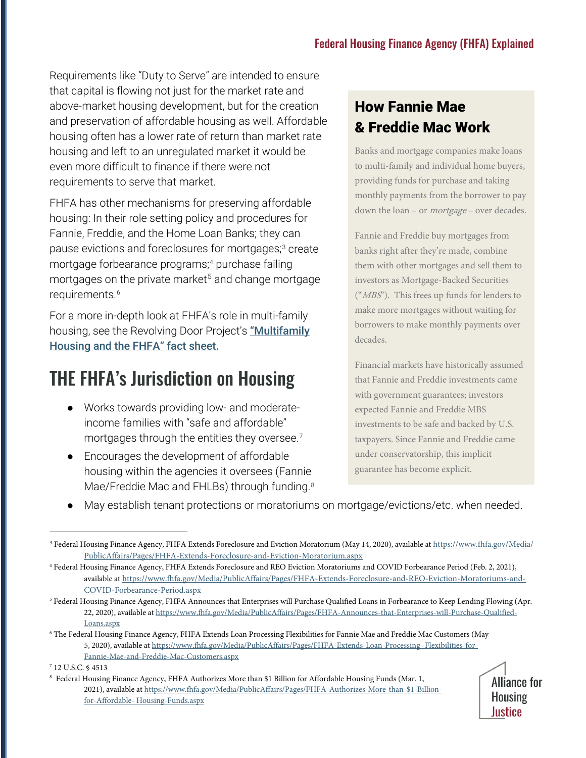Requirements like "Duty to Serve" are intended to ensure that capital is flowing not just for the market rate and above-market housing development, but for the creation and preservation of affordable housing as well. Affordable housing often has a lower rate of return than market rate housing and left to an unregulated market it would be even more difficult to finance if there were not requirements to serve that market.

FHFA has other mechanisms for preserving affordable housing: In their role setting policy and procedures for Fannie, Freddie, and the Home Loan Banks; they can pause evictions and foreclosures for mortgages; [3](#page-1-0) create mortgage forbearance programs; [4](#page-1-1) purchase failing mortgages on the private market<sup>[5](#page-1-2)</sup> and change mortgage requirements.<sup>[6](#page-1-3)</sup>

For a more in-depth look at FHFA's role in multi-family housing, see the Revolving Door Project's "Multifamily [Housing and the FHFA"](https://therevolvingdoorproject.org/multifamily-housing-and-the-fhfa/) [fact sheet.](https://therevolvingdoorproject.org/multifamily-housing-and-the-fhfa/)

#### THE FHFA's Jurisdiction on Housing

- Works towards providing low- and moderateincome families with "safe and affordable" mortgages through the entities they oversee. [7](#page-1-4)
- Encourages the development of affordable housing within the agencies it oversees (Fannie Mae/Freddie Mac and FHLBs) through funding.<sup>[8](#page-1-5)</sup>

#### How Fannie Mae & Freddie Mac Work

Banks and mortgage companies make loans to multi-family and individual home buyers, providing funds for purchase and taking monthly payments from the borrower to pay down the loan – or mortgage – over decades.

Fannie and Freddie buy mortgages from banks right after they're made, combine them with other mortgages and sell them to investors as Mortgage-Backed Securities ("MBS"). This frees up funds for lenders to make more mortgages without waiting for borrowers to make monthly payments over decades.

Financial markets have historically assumed that Fannie and Freddie investments came with government guarantees; investors expected Fannie and Freddie MBS investments to be safe and backed by U.S. taxpayers. Since Fannie and Freddie came under conservatorship, this implicit guarantee has become explicit.

May establish tenant protections or moratoriums on mortgage/evictions/etc. when needed.

<sup>8</sup> Federal Housing Finance Agency, FHFA Authorizes More than \$1 Billion for Affordable Housing Funds (Mar. 1, 2021), available at https://www.fhfa.gov/Media/PublicAffairs/Pages/FHFA-Authorizes-More-than-\$1-Billionfor-Affordable- Housing-Funds.aspx



<span id="page-1-0"></span><sup>&</sup>lt;sup>3</sup> Federal Housing Finance Agency, FHFA Extends Foreclosure and Eviction Moratorium (May 14, 2020), available at https://www.fhfa.gov/Media/ [PublicAffairs/Pages/FHFA-Extends-Foreclosure-and-Eviction-Moratorium.aspx](https://www.fhfa.gov/Media/PublicAffairs/Pages/FHFA-Extends-Foreclosure-and-Eviction-Moratorium.aspx)

<span id="page-1-1"></span><sup>4</sup> Federal Housing Finance Agency, FHFA Extends Foreclosure and REO Eviction Moratoriums and COVID Forbearance Period (Feb. 2, 2021), available at [https://www.fhfa.gov/Media/PublicAffairs/Pages/FHFA-Extends-Foreclosure-and-REO-Eviction-Moratoriums-and-](https://www.fhfa.gov/Media/PublicAffairs/Pages/FHFA-Extends-Foreclosure-and-REO-Eviction-Moratoriums-and-COVID-Forbearance-Period.aspx)[COVID-Forbearance-Period.aspx](https://www.fhfa.gov/Media/PublicAffairs/Pages/FHFA-Extends-Foreclosure-and-REO-Eviction-Moratoriums-and-COVID-Forbearance-Period.aspx)

<span id="page-1-2"></span><sup>&</sup>lt;sup>5</sup> Federal Housing Finance Agency, FHFA Announces that Enterprises will Purchase Qualified Loans in Forbearance to Keep Lending Flowing (Apr. 22, 2020), available at https://www.fhfa.gov/Media/PublicAffairs/Pages/FHFA-Announces-that-Enterprises-will-Purchase-Qualified-Loans.aspx

<span id="page-1-3"></span><sup>6</sup> The Federal Housing Finance Agency, FHFA Extends Loan Processing Flexibilities for Fannie Mae and Freddie Mac Customers (May 5, 2020), available at [https://www.fhfa.gov/Media/PublicAffairs/Pages/FHFA-Extends-Loan-Processing-](https://www.fhfa.gov/Media/PublicAffairs/Pages/FHFA-Extends-Loan-Processing-%20Flexibilities-for-Fannie-Mae-and-Freddie-Mac-Customers.aspx) Flexibilities-for-[Fannie-Mae-and-Freddie-Mac-Customers.aspx](https://www.fhfa.gov/Media/PublicAffairs/Pages/FHFA-Extends-Loan-Processing-%20Flexibilities-for-Fannie-Mae-and-Freddie-Mac-Customers.aspx)

<span id="page-1-5"></span><span id="page-1-4"></span><sup>7</sup> 12 U.S.C. § 4513